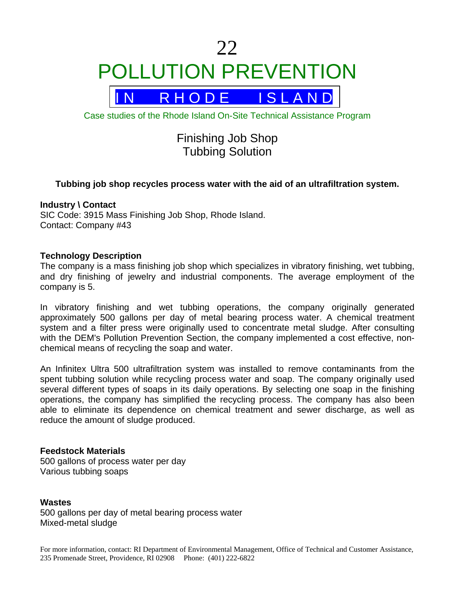# 22 POLLUTION PREVENTION



Case studies of the Rhode Island On-Site Technical Assistance Program

# Finishing Job Shop Tubbing Solution

# **Tubbing job shop recycles process water with the aid of an ultrafiltration system.**

#### **Industry \ Contact**

SIC Code: 3915 Mass Finishing Job Shop, Rhode Island. Contact: Company #43

#### **Technology Description**

The company is a mass finishing job shop which specializes in vibratory finishing, wet tubbing, and dry finishing of jewelry and industrial components. The average employment of the company is 5.

In vibratory finishing and wet tubbing operations, the company originally generated approximately 500 gallons per day of metal bearing process water. A chemical treatment system and a filter press were originally used to concentrate metal sludge. After consulting with the DEM's Pollution Prevention Section, the company implemented a cost effective, nonchemical means of recycling the soap and water.

An Infinitex Ultra 500 ultrafiltration system was installed to remove contaminants from the spent tubbing solution while recycling process water and soap. The company originally used several different types of soaps in its daily operations. By selecting one soap in the finishing operations, the company has simplified the recycling process. The company has also been able to eliminate its dependence on chemical treatment and sewer discharge, as well as reduce the amount of sludge produced.

# **Feedstock Materials**

500 gallons of process water per day Various tubbing soaps

#### **Wastes**

500 gallons per day of metal bearing process water Mixed-metal sludge